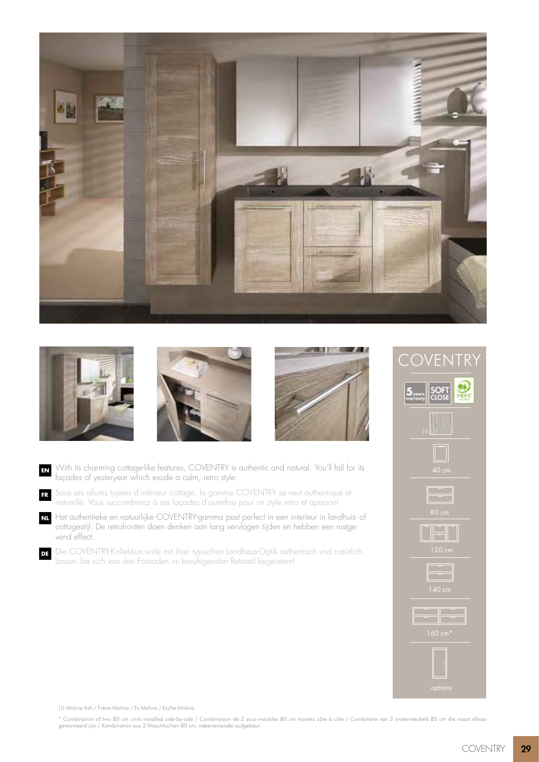







- With its charming cottage-like features, COVENTRY is authentic and natural. You'll fall for its façades of yesteryear which exude a calm, retro style. **EN**
- Sous ses allures typées d'intérieur cottage, la gamme COVENTRY se veut authentique et naturelle. Vous succomberez à ses façades d'autrefois pour un style retro et apaisant **FR**
- Het authentieke en natuurlijke COVENTRY-gamma past perfect in een interieur in landhuis- of cottagestijl. De retrofronten doen denken aan lang vervlogen tijden en hebben een rustgevend effect. **NL**
- Die COVENTRY-Kollektion wirkt mit ihrer typischen Landhaus-Optik authentisch und natürlich. Lassen Sie sich von den Fassaden im beruhigenden Retrostil begeistern! **DE**



(1) Molina Ash / Frêne Molina / Es Molina / Esche Molina

\* Combination of two 80 cm units installed side-by-side / Combinaison de 2 sous-meubles 80 cm montés côte à côte / Combinatie van 2 ondermeubels 80 cm die naast elkaar<br>gemonteerd zijn / Kombination aus 2 Waschtischen 80 cm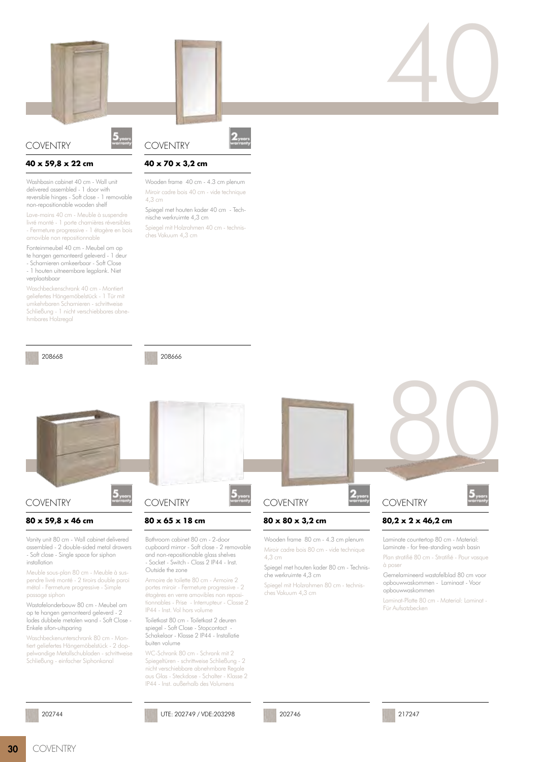

# **COVENTRY**

#### **40 x 59,8 x 22 cm**

Washbasin cabinet 40 cm - Wall unit delivered assembled - 1 door with reversible hinges - Soft close - 1 removable non-repositionable wooden shelf

Lave-mains 40 cm - Meuble à suspendre livré monté - 1 porte charnières réversibles - Fermeture progressive - 1 étagère en bois amovible non repositionnable

Fonteinmeubel 40 cm - Meubel om op te hangen gemonteerd geleverd - 1 deur - Scharnieren omkeerbaar - Soft Close - 1 houten uitneembare legplank. Niet verplaatsbaar

Waschbeckenschrank 40 cm - Montiert geliefertes Hängemöbelstück - 1 Tür mit umkehrbaren Scharnieren - schrittweise Schließung - 1 nicht verschiebbares abnehmbares Holzregal

208668

208666

**40 x 70 x 3,2 cm**

nische werkruimte 4,3 cm

ches Vakuum 4,3 cm

Wooden frame 40 cm - 4.3 cm plenum Miroir cadre bois 40 cm - vide technique

Spiegel met houten kader 40 cm - Tech-

Spiegel mit Holzrahmen 40 cm - technis-

**COVENTRY** 

4,3 cm



# **COVENTRY**

#### **80 x 59,8 x 46 cm**

Vanity unit 80 cm - Wall cabinet delivered assembled - 2 double-sided metal drawers - Soft close - Single space for siphon installation

Meuble sous-plan 80 cm - Meuble à suspendre livré monté - 2 tiroirs double paroi métal - Fermeture progressive - Simple passage siphon

Wastafelonderbouw 80 cm - Meubel om op te hangen gemonteerd geleverd - 2 lades dubbele metalen wand - Soft Close - Enkele sifon-uitsparing

Waschbeckenunterschrank 80 cm - Montiert geliefertes Hängemöbelstück - 2 doppelwandige Metallschubladen - schrittweise Schließung - einfacher Siphonkanal

#### 202744



## **80 x 65 x 18 cm**

Bathroom cabinet 80 cm - 2-door cupboard mirror - Soft close - 2 removable and non-repositionable glass shelves - Socket - Switch - Class 2 IP44 - Inst. Outside the zone

Armoire de toilette 80 cm - Armoire 2 portes miroir - Fermeture progressive - 2 étagères en verre amovibles non repositionnables - Prise - Interrupteur - Classe 2 IP44 - Inst. Vol hors volume

Toiletkast 80 cm - Toiletkast 2 deuren spiegel - Soft Close - Stopcontact Schakelaar - Klasse 2 IP44 - Installatie buiten volume

WC-Schrank 80 cm - Schrank mit 2 Spiegeltüren - schrittweise Schließung - 2 nicht verschiebbare abnehmbare Regale aus Glas - Steckdose - Schalter - Klasse 2 IP44 - Inst. außerhalb des Volumens

UTE: 202749 / VDE:203298





# **COVENTRY**

### **80 x 80 x 3,2 cm**

Wooden frame 80 cm - 4.3 cm plenum Miroir cadre bois 80 cm - vide technique 4,3 cm

Spiegel met houten kader 80 cm - Technische werkruimte 4,3 cm

Spiegel mit Holzrahmen 80 cm - technisches Vakuum 4,3 cm

**COVENTRY** 

40

# **80,2 x 2 x 46,2 cm**

Laminate countertop 80 cm - Material: Laminate - for free-standing wash basin

Plan stratifié 80 cm - Stratifié - Pour vasque à poser

Gemelamineerd wastafelblad 80 cm voor opbouwwaskommen - Laminaat - Voor opbouwwaskommen

Laminat-Platte 80 cm - Material: Laminat - Für Aufsatzbecken